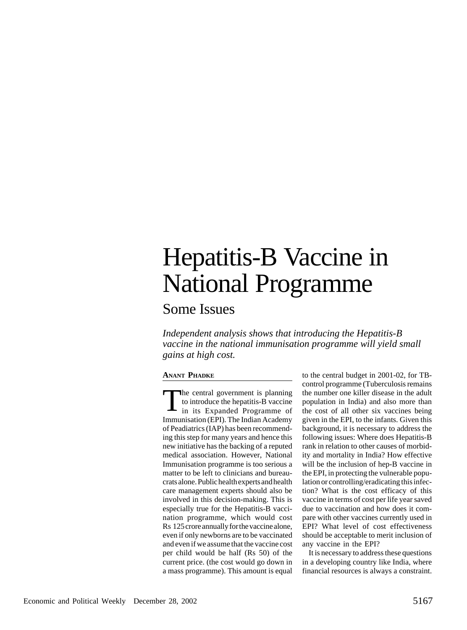## Hepatitis-B Vaccine in National Programme

Some Issues

*Independent analysis shows that introducing the Hepatitis-B vaccine in the national immunisation programme will yield small gains at high cost.*

## **ANANT PHADKE**

The central government is planning<br>to introduce the hepatitis-B vaccine<br>in its Expanded Programme of to introduce the hepatitis-B vaccine in its Expanded Programme of Immunisation (EPI). The Indian Academy of Peadiatrics (IAP) has been recommending this step for many years and hence this new initiative has the backing of a reputed medical association. However, National Immunisation programme is too serious a matter to be left to clinicians and bureaucrats alone. Public health experts and health care management experts should also be involved in this decision-making. This is especially true for the Hepatitis-B vaccination programme, which would cost Rs 125 crore annually for the vaccine alone, even if only newborns are to be vaccinated and even if we assume that the vaccine cost per child would be half (Rs 50) of the current price. (the cost would go down in a mass programme). This amount is equal

to the central budget in 2001-02, for TBcontrol programme (Tuberculosis remains the number one killer disease in the adult population in India) and also more than the cost of all other six vaccines being given in the EPI, to the infants. Given this background, it is necessary to address the following issues: Where does Hepatitis-B rank in relation to other causes of morbidity and mortality in India? How effective will be the inclusion of hep-B vaccine in the EPI, in protecting the vulnerable population or controlling/eradicating this infection? What is the cost efficacy of this vaccine in terms of cost per life year saved due to vaccination and how does it compare with other vaccines currently used in EPI? What level of cost effectiveness should be acceptable to merit inclusion of any vaccine in the EPI?

It is necessary to address these questions in a developing country like India, where financial resources is always a constraint.